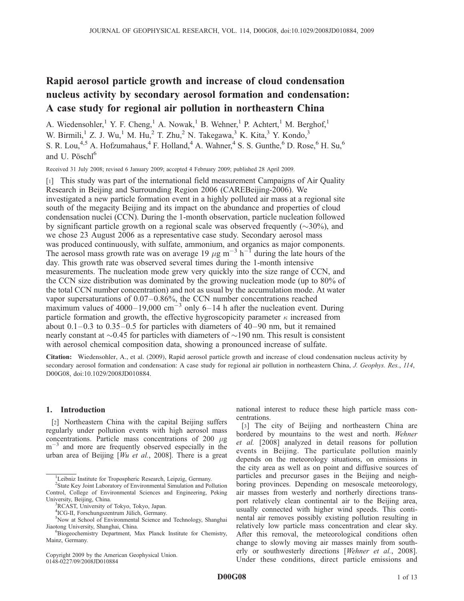# Rapid aerosol particle growth and increase of cloud condensation nucleus activity by secondary aerosol formation and condensation: A case study for regional air pollution in northeastern China

A. Wiedensohler,<sup>1</sup> Y. F. Cheng,<sup>1</sup> A. Nowak,<sup>1</sup> B. Wehner,<sup>1</sup> P. Achtert,<sup>1</sup> M. Berghof,<sup>1</sup> W. Birmili,<sup>1</sup> Z. J. Wu,<sup>1</sup> M. Hu,<sup>2</sup> T. Zhu,<sup>2</sup> N. Takegawa,<sup>3</sup> K. Kita,<sup>3</sup> Y. Kondo,<sup>3</sup> S. R. Lou,<sup>4,5</sup> A. Hofzumahaus,<sup>4</sup> F. Holland,<sup>4</sup> A. Wahner,<sup>4</sup> S. S. Gunthe,<sup>6</sup> D. Rose,<sup>6</sup> H. Su,<sup>6</sup> and U. Pösch $1^6$ 

Received 31 July 2008; revised 6 January 2009; accepted 4 February 2009; published 28 April 2009.

[1] This study was part of the international field measurement Campaigns of Air Quality Research in Beijing and Surrounding Region 2006 (CAREBeijing-2006). We investigated a new particle formation event in a highly polluted air mass at a regional site south of the megacity Beijing and its impact on the abundance and properties of cloud condensation nuclei (CCN). During the 1-month observation, particle nucleation followed by significant particle growth on a regional scale was observed frequently  $(\sim 30\%)$ , and we chose 23 August 2006 as a representative case study. Secondary aerosol mass was produced continuously, with sulfate, ammonium, and organics as major components. The aerosol mass growth rate was on average 19  $\mu$ g m<sup>-3</sup> h<sup>-T</sup> during the late hours of the day. This growth rate was observed several times during the 1-month intensive measurements. The nucleation mode grew very quickly into the size range of CCN, and the CCN size distribution was dominated by the growing nucleation mode (up to 80% of the total CCN number concentration) and not as usual by the accumulation mode. At water vapor supersaturations of 0.07–0.86%, the CCN number concentrations reached maximum values of  $4000-19{,}000 \text{ cm}^{-3}$  only 6–14 h after the nucleation event. During particle formation and growth, the effective hygroscopicity parameter  $\kappa$  increased from about  $0.1-0.3$  to  $0.35-0.5$  for particles with diameters of  $40-90$  nm, but it remained nearly constant at  $\sim 0.45$  for particles with diameters of  $\sim 190$  nm. This result is consistent with aerosol chemical composition data, showing a pronounced increase of sulfate.

Citation: Wiedensohler, A., et al. (2009), Rapid aerosol particle growth and increase of cloud condensation nucleus activity by secondary aerosol formation and condensation: A case study for regional air pollution in northeastern China, *J. Geophys. Res.*, *114*, D00G08, doi:10.1029/2008JD010884.

### 1. Introduction

[2] Northeastern China with the capital Beijing suffers regularly under pollution events with high aerosol mass concentrations. Particle mass concentrations of 200  $\mu$ g  $m^{-3}$  and more are frequently observed especially in the urban area of Beijing [*Wu et al.*, 2008]. There is a great

Copyright 2009 by the American Geophysical Union. 0148-0227/09/2008JD010884

national interest to reduce these high particle mass concentrations.

[3] The city of Beijing and northeastern China are bordered by mountains to the west and north. *Wehner et al.* [2008] analyzed in detail reasons for pollution events in Beijing. The particulate pollution mainly depends on the meteorology situations, on emissions in the city area as well as on point and diffusive sources of particles and precursor gases in the Beijing and neighboring provinces. Depending on mesoscale meteorology, air masses from westerly and northerly directions transport relatively clean continental air to the Beijing area, usually connected with higher wind speeds. This continental air removes possibly existing pollution resulting in relatively low particle mass concentration and clear sky. After this removal, the meteorological conditions often change to slowly moving air masses mainly from southerly or southwesterly directions [*Wehner et al.*, 2008]. Under these conditions, direct particle emissions and

<sup>&</sup>lt;sup>1</sup>Leibniz Institute for Tropospheric Research, Leipzig, Germany.

<sup>2</sup> State Key Joint Laboratory of Environmental Simulation and Pollution Control, College of Environmental Sciences and Engineering, Peking University, Beijing, China.

<sup>&</sup>lt;sup>3</sup>RCAST, University of Tokyo, Tokyo, Japan.

<sup>&</sup>lt;sup>4</sup>ICG-II, Forschungszentrum Jülich, Germany.

<sup>5</sup>Now at School of Environmental Science and Technology, Shanghai Jiaotong University, Shanghai, China.

<sup>6</sup>Biogeochemistry Department, Max Planck Institute for Chemistry, Mainz, Germany.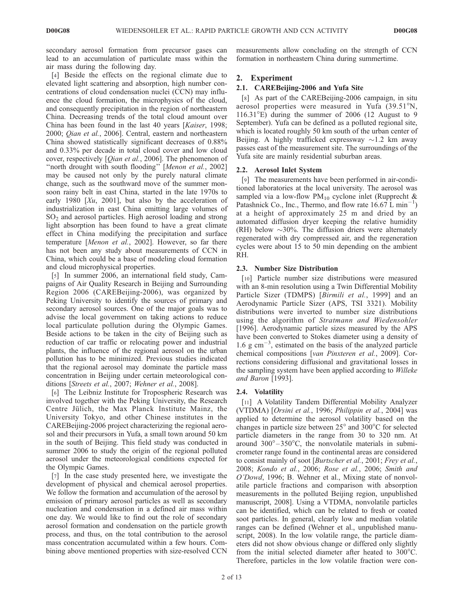secondary aerosol formation from precursor gases can lead to an accumulation of particulate mass within the air mass during the following day.

[4] Beside the effects on the regional climate due to elevated light scattering and absorption, high number concentrations of cloud condensation nuclei (CCN) may influence the cloud formation, the microphysics of the cloud, and consequently precipitation in the region of northeastern China. Decreasing trends of the total cloud amount over China has been found in the last 40 years [*Kaiser*, 1998; 2000; *Qian et al.*, 2006]. Central, eastern and northeastern China showed statistically significant decreases of 0.88% and 0.33% per decade in total cloud cover and low cloud cover, respectively [*Qian et al.*, 2006]. The phenomenon of ''north drought with south flooding'' [*Menon et al.*, 2002] may be caused not only by the purely natural climate change, such as the southward move of the summer monsoon rainy belt in east China, started in the late 1970s to early 1980 [*Xu*, 2001], but also by the acceleration of industrialization in east China emitting large volumes of  $SO<sub>2</sub>$  and aerosol particles. High aerosol loading and strong light absorption has been found to have a great climate effect in China modifying the precipitation and surface temperature [*Menon et al.*, 2002]. However, so far there has not been any study about measurements of CCN in China, which could be a base of modeling cloud formation and cloud microphysical properties.

[5] In summer 2006, an international field study, Campaigns of Air Quality Research in Beijing and Surrounding Region 2006 (CAREBeijing-2006), was organized by Peking University to identify the sources of primary and secondary aerosol sources. One of the major goals was to advise the local government on taking actions to reduce local particulate pollution during the Olympic Games. Beside actions to be taken in the city of Beijing such as reduction of car traffic or relocating power and industrial plants, the influence of the regional aerosol on the urban pollution has to be minimized. Previous studies indicated that the regional aerosol may dominate the particle mass concentration in Beijing under certain meteorological conditions [*Streets et al.*, 2007; *Wehner et al.*, 2008].

[6] The Leibniz Institute for Tropospheric Research was involved together with the Peking University, the Research Centre Jülich, the Max Planck Institute Mainz, the University Tokyo, and other Chinese institutes in the CAREBeijing-2006 project characterizing the regional aerosol and their precursors in Yufa, a small town around 50 km in the south of Beijing. This field study was conducted in summer 2006 to study the origin of the regional polluted aerosol under the meteorological conditions expected for the Olympic Games.

[7] In the case study presented here, we investigate the development of physical and chemical aerosol properties. We follow the formation and accumulation of the aerosol by emission of primary aerosol particles as well as secondary nucleation and condensation in a defined air mass within one day. We would like to find out the role of secondary aerosol formation and condensation on the particle growth process, and thus, on the total contribution to the aerosol mass concentration accumulated within a few hours. Combining above mentioned properties with size-resolved CCN measurements allow concluding on the strength of CCN formation in northeastern China during summertime.

### 2. Experiment

### 2.1. CAREBeijing-2006 and Yufa Site

[8] As part of the CAREBeijing-2006 campaign, in situ aerosol properties were measured in Yufa  $(39.51^{\circ}N,$  $116.31^{\circ}$ E) during the summer of 2006 (12 August to 9 September). Yufa can be defined as a polluted regional site, which is located roughly 50 km south of the urban center of Beijing. A highly trafficked expressway  $\sim$ 1.2 km away passes east of the measurement site. The surroundings of the Yufa site are mainly residential suburban areas.

### 2.2. Aerosol Inlet System

[9] The measurements have been performed in air-conditioned laboratories at the local university. The aerosol was sampled via a low-flow  $PM_{10}$  cyclone inlet (Rupprecht & Patashnick Co., Inc., Thermo, and flow rate  $16.67 \text{ L min}^{-1}$ ) at a height of approximately 25 m and dried by an automated diffusion dryer keeping the relative humidity (RH) below  $\sim$ 30%. The diffusion driers were alternately regenerated with dry compressed air, and the regeneration cycles were about 15 to 50 min depending on the ambient RH.

### 2.3. Number Size Distribution

[10] Particle number size distributions were measured with an 8-min resolution using a Twin Differential Mobility Particle Sizer (TDMPS) [*Birmili et al.*, 1999] and an Aerodynamic Particle Sizer (APS, TSI 3321). Mobility distributions were inverted to number size distributions using the algorithm of *Stratmann and Wiedensohler* [1996]. Aerodynamic particle sizes measured by the APS have been converted to Stokes diameter using a density of 1.6  $g \text{ cm}^{-3}$ , estimated on the basis of the analyzed particle chemical compositions [*van Pinxteren et al.*, 2009]. Corrections considering diffusional and gravitational losses in the sampling system have been applied according to *Willeke and Baron* [1993].

### 2.4. Volatility

[11] A Volatility Tandem Differential Mobility Analyzer (VTDMA) [*Orsini et al.*, 1996; *Philippin et al.*, 2004] was applied to determine the aerosol volatility based on the changes in particle size between  $25^{\circ}$  and  $300^{\circ}$ C for selected particle diameters in the range from 30 to 320 nm. At around  $300^{\circ} - 350^{\circ}$ C, the nonvolatile materials in submicrometer range found in the continental areas are considered to consist mainly of soot [*Burtscher et al.*, 2001; *Frey et al.*, 2008; *Kondo et al.*, 2006; *Rose et al.*, 2006; *Smith and O'Dowd*, 1996; B. Wehner et al., Mixing state of nonvolatile particle fractions and comparison with absorption measurements in the polluted Beijing region, unpublished manuscript, 2008]. Using a VTDMA, nonvolatile particles can be identified, which can be related to fresh or coated soot particles. In general, clearly low and median volatile ranges can be defined (Wehner et al., unpublished manuscript, 2008). In the low volatile range, the particle diameters did not show obvious change or differed only slightly from the initial selected diameter after heated to  $300^{\circ}$ C. Therefore, particles in the low volatile fraction were con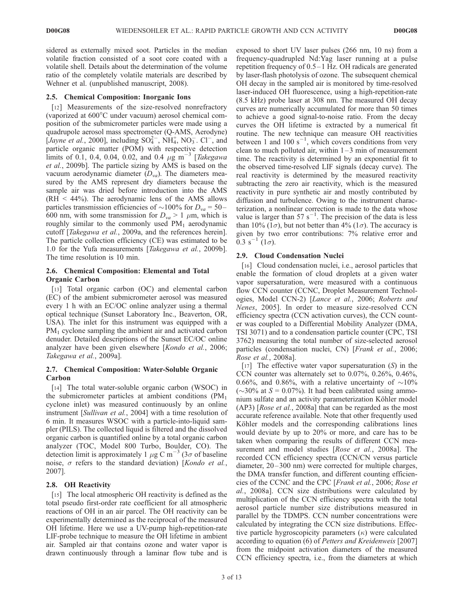sidered as externally mixed soot. Particles in the median volatile fraction consisted of a soot core coated with a volatile shell. Details about the determination of the volume ratio of the completely volatile materials are described by Wehner et al. (unpublished manuscript, 2008).

### 2.5. Chemical Composition: Inorganic Ions

[12] Measurements of the size-resolved nonrefractory (vaporized at  $600^{\circ}$ C under vacuum) aerosol chemical composition of the submicrometer particles were made using a quadrupole aerosol mass spectrometer (Q-AMS, Aerodyne) [*Jayne et al.*, 2000], including  $SO_4^{2-}$ ,  $NH_4^+$ ,  $NO_3^-$ . Cl<sup>-</sup>, and particle organic matter (POM) with respective detection limits of 0.1, 0.4, 0.04, 0.02, and 0.4  $\mu$ g m<sup>-3</sup> [*Takegawa et al.*, 2009b]. The particle sizing by AMS is based on the vacuum aerodynamic diameter (*Dva*). The diameters measured by the AMS represent dry diameters because the sample air was dried before introduction into the AMS  $(RH < 44\%)$ . The aerodynamic lens of the AMS allows particles transmission efficiencies of  $\sim$ 100% for *D*<sub>*va*</sub> = 50– 600 nm, with some transmission for  $D_{va} > 1$   $\mu$ m, which is roughly similar to the commonly used  $PM_1$  aerodynamic cutoff [*Takegawa et al.*, 2009a, and the references herein]. The particle collection efficiency (CE) was estimated to be 1.0 for the Yufa measurements [*Takegawa et al.*, 2009b]. The time resolution is 10 min.

### 2.6. Chemical Composition: Elemental and Total Organic Carbon

[13] Total organic carbon (OC) and elemental carbon (EC) of the ambient submicrometer aerosol was measured every 1 h with an EC/OC online analyzer using a thermal optical technique (Sunset Laboratory Inc., Beaverton, OR, USA). The inlet for this instrument was equipped with a PM<sub>1</sub> cyclone sampling the ambient air and activated carbon denuder. Detailed descriptions of the Sunset EC/OC online analyzer have been given elsewhere [*Kondo et al.*, 2006; *Takegawa et al.*, 2009a].

# 2.7. Chemical Composition: Water-Soluble Organic Carbon

[14] The total water-soluble organic carbon (WSOC) in the submicrometer particles at ambient conditions  $(PM_1)$ cyclone inlet) was measured continuously by an online instrument [*Sullivan et al.*, 2004] with a time resolution of 6 min. It measures WSOC with a particle-into-liquid sampler (PILS). The collected liquid is filtered and the dissolved organic carbon is quantified online by a total organic carbon analyzer (TOC, Model 800 Turbo, Boulder, CO). The detection limit is approximately 1  $\mu$ g C m<sup>-3</sup> (3 $\sigma$  of baseline noise,  $\sigma$  refers to the standard deviation) [*Kondo et al.*, 2007].

# 2.8. OH Reactivity

[15] The local atmospheric OH reactivity is defined as the total pseudo first-order rate coefficient for all atmospheric reactions of OH in an air parcel. The OH reactivity can be experimentally determined as the reciprocal of the measured OH lifetime. Here we use a UV-pump high-repetition-rate LIF-probe technique to measure the OH lifetime in ambient air. Sampled air that contains ozone and water vapor is drawn continuously through a laminar flow tube and is exposed to short UV laser pulses (266 nm, 10 ns) from a frequency-quadrupled Nd:Yag laser running at a pulse repetition frequency of 0.5– 1 Hz. OH radicals are generated by laser-flash photolysis of ozone. The subsequent chemical OH decay in the sampled air is monitored by time-resolved laser-induced OH fluorescence, using a high-repetition-rate (8.5 kHz) probe laser at 308 nm. The measured OH decay curves are numerically accumulated for more than 50 times to achieve a good signal-to-noise ratio. From the decay curves the OH lifetime is extracted by a numerical fit routine. The new technique can measure OH reactivities between 1 and 100  $s^{-1}$ , which covers conditions from very clean to much polluted air, within  $1-3$  min of measurement time. The reactivity is determined by an exponential fit to the observed time-resolved LIF signals (decay curve). The real reactivity is determined by the measured reactivity subtracting the zero air reactivity, which is the measured reactivity in pure synthetic air and mostly contributed by diffusion and turbulence. Owing to the instrument characterization, a nonlinear correction is made to the data whose value is larger than  $57 s^{-1}$ . The precision of the data is less than 10% (1 $\sigma$ ), but not better than 4% (1 $\sigma$ ). The accuracy is given by two error contributions: 7% relative error and  $0.3 \text{ s}^{-1} (1\sigma).$ 

# 2.9. Cloud Condensation Nuclei

[16] Cloud condensation nuclei, i.e., aerosol particles that enable the formation of cloud droplets at a given water vapor supersaturation, were measured with a continuous flow CCN counter (CCNC, Droplet Measurement Technologies, Model CCN-2) [*Lance et al.*, 2006; *Roberts and Nenes*, 2005]. In order to measure size-resolved CCN efficiency spectra (CCN activation curves), the CCN counter was coupled to a Differential Mobility Analyzer (DMA, TSI 3071) and to a condensation particle counter (CPC, TSI 3762) measuring the total number of size-selected aerosol particles (condensation nuclei, CN) [*Frank et al.*, 2006; *Rose et al.*, 2008a].

[17] The effective water vapor supersaturation (*S*) in the CCN counter was alternately set to 0.07%, 0.26%, 0.46%, 0.66%, and 0.86%, with a relative uncertainty of  $\sim 10\%$ ( $\sim$ 30% at *S* = 0.07%). It had been calibrated using ammonium sulfate and an activity parameterization Köhler model (AP3) [*Rose et al.*, 2008a] that can be regarded as the most accurate reference available. Note that other frequently used Köhler models and the corresponding calibrations lines would deviate by up to 20% or more, and care has to be taken when comparing the results of different CCN measurement and model studies [*Rose et al.*, 2008a]. The recorded CCN efficiency spectra (CCN/CN versus particle diameter, 20–300 nm) were corrected for multiple charges, the DMA transfer function, and different counting efficiencies of the CCNC and the CPC [*Frank et al.*, 2006; *Rose et al.*, 2008a]. CCN size distributions were calculated by multiplication of the CCN efficiency spectra with the total aerosol particle number size distributions measured in parallel by the TDMPS. CCN number concentrations were calculated by integrating the CCN size distributions. Effective particle hygroscopicity parameters  $(\kappa)$  were calculated according to equation (6) of *Petters and Kreidenweis* [2007] from the midpoint activation diameters of the measured CCN efficiency spectra, i.e., from the diameters at which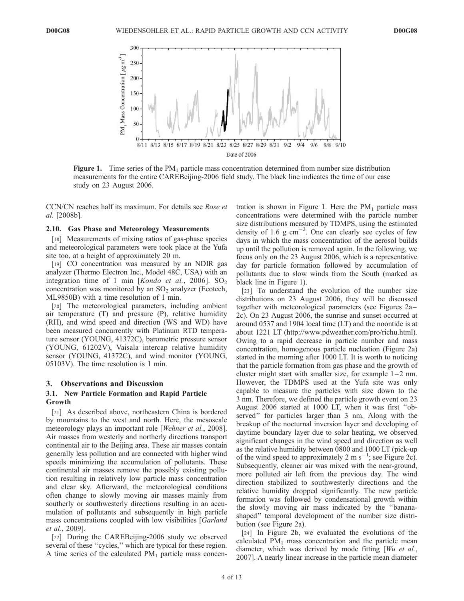

Figure 1. Time series of the  $PM_1$  particle mass concentration determined from number size distribution measurements for the entire CAREBeijing-2006 field study. The black line indicates the time of our case study on 23 August 2006.

CCN/CN reaches half its maximum. For details see *Rose et al.* [2008b].

#### 2.10. Gas Phase and Meteorology Measurements

[18] Measurements of mixing ratios of gas-phase species and meteorological parameters were took place at the Yufa site too, at a height of approximately 20 m.

[19] CO concentration was measured by an NDIR gas analyzer (Thermo Electron Inc., Model 48C, USA) with an integration time of 1 min  $[Kondo \ et \ al., \ 2006]$ . SO<sub>2</sub> concentration was monitored by an  $SO_2$  analyzer (Ecotech, ML9850B) with a time resolution of 1 min.

[20] The meteorological parameters, including ambient air temperature (T) and pressure (P), relative humidity (RH), and wind speed and direction (WS and WD) have been measured concurrently with Platinum RTD temperature sensor (YOUNG, 41372C), barometric pressure sensor (YOUNG, 61202V), Vaisala intercap relative humidity sensor (YOUNG, 41372C), and wind monitor (YOUNG, 05103V). The time resolution is 1 min.

#### 3. Observations and Discussion

#### 3.1. New Particle Formation and Rapid Particle Growth

[21] As described above, northeastern China is bordered by mountains to the west and north. Here, the mesoscale meteorology plays an important role [*Wehner et al.*, 2008]. Air masses from westerly and northerly directions transport continental air to the Beijing area. These air masses contain generally less pollution and are connected with higher wind speeds minimizing the accumulation of pollutants. These continental air masses remove the possibly existing pollution resulting in relatively low particle mass concentration and clear sky. Afterward, the meteorological conditions often change to slowly moving air masses mainly from southerly or southwesterly directions resulting in an accumulation of pollutants and subsequently in high particle mass concentrations coupled with low visibilities [*Garland et al.*, 2009].

[22] During the CAREBeijing-2006 study we observed several of these "cycles," which are typical for these region. A time series of the calculated  $PM_1$  particle mass concentration is shown in Figure 1. Here the  $PM_1$  particle mass concentrations were determined with the particle number size distributions measured by TDMPS, using the estimated density of 1.6  $g \text{ cm}^{-3}$ . One can clearly see cycles of few days in which the mass concentration of the aerosol builds up until the pollution is removed again. In the following, we focus only on the 23 August 2006, which is a representative day for particle formation followed by accumulation of pollutants due to slow winds from the South (marked as black line in Figure 1).

[23] To understand the evolution of the number size distributions on 23 August 2006, they will be discussed together with meteorological parameters (see Figures 2a– 2c). On 23 August 2006, the sunrise and sunset occurred at around 0537 and 1904 local time (LT) and the noontide is at about 1221 LT (http://www.pdweather.com/pro/richu.html). Owing to a rapid decrease in particle number and mass concentration, homogenous particle nucleation (Figure 2a) started in the morning after 1000 LT. It is worth to noticing that the particle formation from gas phase and the growth of cluster might start with smaller size, for example  $1-2$  nm. However, the TDMPS used at the Yufa site was only capable to measure the particles with size down to the 3 nm. Therefore, we defined the particle growth event on 23 August 2006 started at 1000 LT, when it was first ''observed'' for particles larger than 3 nm. Along with the breakup of the nocturnal inversion layer and developing of daytime boundary layer due to solar heating, we observed significant changes in the wind speed and direction as well as the relative humidity between 0800 and 1000 LT (pick-up of the wind speed to approximately 2 m  $s^{-1}$ ; see Figure 2c). Subsequently, cleaner air was mixed with the near-ground, more polluted air left from the previous day. The wind direction stabilized to southwesterly directions and the relative humidity dropped significantly. The new particle formation was followed by condensational growth within the slowly moving air mass indicated by the ''bananashaped'' temporal development of the number size distribution (see Figure 2a).

[24] In Figure 2b, we evaluated the evolutions of the calculated  $PM<sub>1</sub>$  mass concentration and the particle mean diameter, which was derived by mode fitting [*Wu et al.*, 2007]. A nearly linear increase in the particle mean diameter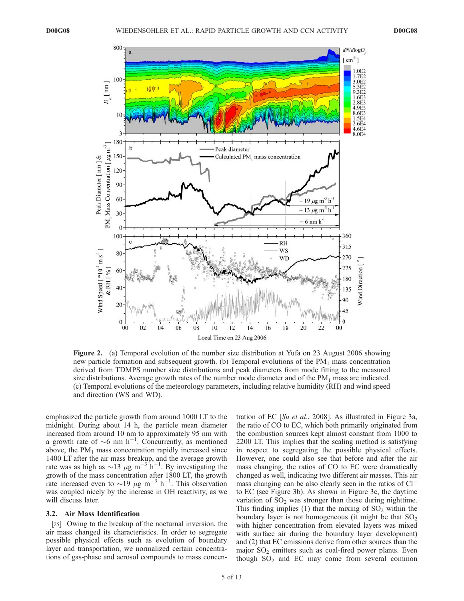

Figure 2. (a) Temporal evolution of the number size distribution at Yufa on 23 August 2006 showing new particle formation and subsequent growth. (b) Temporal evolutions of the  $PM<sub>1</sub>$  mass concentration derived from TDMPS number size distributions and peak diameters from mode fitting to the measured size distributions. Average growth rates of the number mode diameter and of the  $PM<sub>1</sub>$  mass are indicated. (c) Temporal evolutions of the meteorology parameters, including relative humidity (RH) and wind speed and direction (WS and WD).

emphasized the particle growth from around 1000 LT to the midnight. During about 14 h, the particle mean diameter increased from around 10 nm to approximately 95 nm with a growth rate of  $\sim 6$  nm h<sup>-1</sup>. Concurrently, as mentioned above, the  $PM<sub>1</sub>$  mass concentration rapidly increased since 1400 LT after the air mass breakup, and the average growth rate was as high as  $\sim$ 13  $\mu$ g m<sup>-3 h<sup>-1</sup>. By investigating the</sup> growth of the mass concentration after 1800 LT, the growth rate increased even to  $\sim$ 19  $\mu$ g m<sup>-3</sup> h<sup>-1</sup>. This observation was coupled nicely by the increase in OH reactivity, as we will discuss later.

#### 3.2. Air Mass Identification

[25] Owing to the breakup of the nocturnal inversion, the air mass changed its characteristics. In order to segregate possible physical effects such as evolution of boundary layer and transportation, we normalized certain concentrations of gas-phase and aerosol compounds to mass concentration of EC [*Su et al.*, 2008]. As illustrated in Figure 3a, the ratio of CO to EC, which both primarily originated from the combustion sources kept almost constant from 1000 to 2200 LT. This implies that the scaling method is satisfying in respect to segregating the possible physical effects. However, one could also see that before and after the air mass changing, the ratios of CO to EC were dramatically changed as well, indicating two different air masses. This air mass changing can be also clearly seen in the ratios of Cl<sup>-</sup> to EC (see Figure 3b). As shown in Figure 3c, the daytime variation of  $SO<sub>2</sub>$  was stronger than those during nighttime. This finding implies (1) that the mixing of  $SO<sub>2</sub>$  within the boundary layer is not homogeneous (it might be that  $SO<sub>2</sub>$ ) with higher concentration from elevated layers was mixed with surface air during the boundary layer development) and (2) that EC emissions derive from other sources than the major  $SO_2$  emitters such as coal-fired power plants. Even though  $SO_2$  and EC may come from several common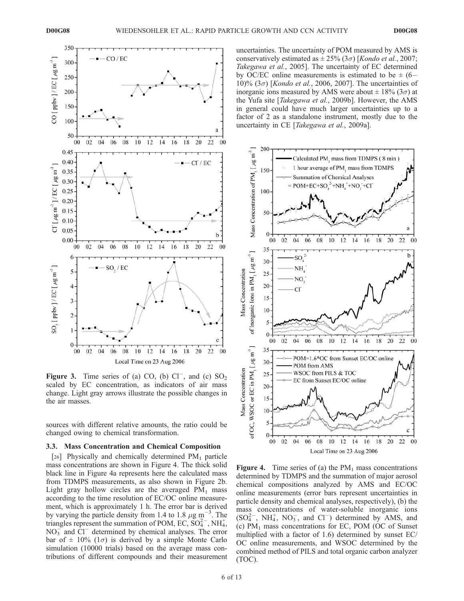

Figure 3. Time series of (a) CO, (b)  $CI^-$ , and (c)  $SO_2$ scaled by EC concentration, as indicators of air mass change. Light gray arrows illustrate the possible changes in the air masses.

sources with different relative amounts, the ratio could be changed owing to chemical transformation.

### 3.3. Mass Concentration and Chemical Composition

[26] Physically and chemically determined  $PM_1$  particle mass concentrations are shown in Figure 4. The thick solid black line in Figure 4a represents here the calculated mass from TDMPS measurements, as also shown in Figure 2b. Light gray hollow circles are the averaged  $PM_1$  mass according to the time resolution of EC/OC online measurement, which is approximately 1 h. The error bar is derived by varying the particle density from 1.4 to 1.8  $\mu$ g m<sup>-3</sup>. The triangles represent the summation of POM, EC,  $SO_4^{2-}$ , NH<sub>4</sub>,  $NO<sub>3</sub><sup>-</sup>$  and  $Cl<sup>-</sup>$  determined by chemical analyses. The error bar of  $\pm$  10% (1 $\sigma$ ) is derived by a simple Monte Carlo simulation (10000 trials) based on the average mass contributions of different compounds and their measurement

uncertainties. The uncertainty of POM measured by AMS is conservatively estimated as  $\pm 25\%$  (3 $\sigma$ ) [*Kondo et al.*, 2007; *Takegawa et al.*, 2005]. The uncertainty of EC determined by OC/EC online measurements is estimated to be  $\pm$  (6– 10)%  $(3\sigma)$  [*Kondo et al.*, 2006, 2007]. The uncertainties of inorganic ions measured by AMS were about  $\pm$  18% (3 $\sigma$ ) at the Yufa site [*Takegawa et al.*, 2009b]. However, the AMS in general could have much larger uncertainties up to a factor of 2 as a standalone instrument, mostly due to the uncertainty in CE [*Takegawa et al.*, 2009a].



**Figure 4.** Time series of (a) the  $PM_1$  mass concentrations determined by TDMPS and the summation of major aerosol chemical compositions analyzed by AMS and EC/OC online measurements (error bars represent uncertainties in particle density and chemical analyses, respectively), (b) the mass concentrations of water-soluble inorganic ions  $(SO_4^{2-}, NH_4^+, NO_3^-$ , and  $Cl^-$ ) determined by AMS, and (c)  $PM<sub>1</sub>$  mass concentrations for EC, POM (OC of Sunset multiplied with a factor of 1.6) determined by sunset EC/ OC online measurements, and WSOC determined by the combined method of PILS and total organic carbon analyzer (TOC).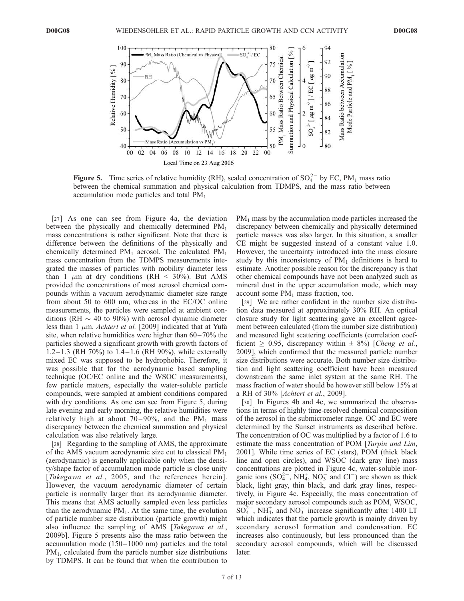

Figure 5. Time series of relative humidity (RH), scaled concentration of  $SO_4^{2-}$  by EC, PM<sub>1</sub> mass ratio between the chemical summation and physical calculation from TDMPS, and the mass ratio between accumulation mode particles and total  $PM<sub>1</sub>$ .

[27] As one can see from Figure 4a, the deviation between the physically and chemically determined  $PM_1$ mass concentrations is rather significant. Note that there is difference between the definitions of the physically and chemically determined  $PM_1$  aerosol. The calculated  $PM_1$ mass concentration from the TDMPS measurements integrated the masses of particles with mobility diameter less than 1  $\mu$ m at dry conditions (RH < 30%). But AMS provided the concentrations of most aerosol chemical compounds within a vacuum aerodynamic diameter size range from about 50 to 600 nm, whereas in the EC/OC online measurements, the particles were sampled at ambient conditions (RH  $\sim$  40 to 90%) with aerosol dynamic diameter less than  $1 \mu m$ . *Achtert et al.* [2009] indicated that at Yufa site, when relative humidities were higher than  $60-70\%$  the particles showed a significant growth with growth factors of  $1.2-1.3$  (RH 70%) to  $1.4-1.6$  (RH 90%), while externally mixed EC was supposed to be hydrophobic. Therefore, it was possible that for the aerodynamic based sampling technique (OC/EC online and the WSOC measurements), few particle matters, especially the water-soluble particle compounds, were sampled at ambient conditions compared with dry conditions. As one can see from Figure 5, during late evening and early morning, the relative humidities were relatively high at about  $70-90\%$ , and the PM<sub>1</sub> mass discrepancy between the chemical summation and physical calculation was also relatively large.

[28] Regarding to the sampling of AMS, the approximate of the AMS vacuum aerodynamic size cut to classical  $PM_1$ (aerodynamic) is generally applicable only when the density/shape factor of accumulation mode particle is close unity [*Takegawa et al.*, 2005, and the references herein]. However, the vacuum aerodynamic diameter of certain particle is normally larger than its aerodynamic diameter. This means that AMS actually sampled even less particles than the aerodynamic  $PM<sub>1</sub>$ . At the same time, the evolution of particle number size distribution (particle growth) might also influence the sampling of AMS [*Takegawa et al.*, 2009b]. Figure 5 presents also the mass ratio between the accumulation mode (150– 1000 nm) particles and the total  $PM<sub>1</sub>$ , calculated from the particle number size distributions by TDMPS. It can be found that when the contribution to

PM<sup>1</sup> mass by the accumulation mode particles increased the discrepancy between chemically and physically determined particle masses was also larger. In this situation, a smaller CE might be suggested instead of a constant value 1.0. However, the uncertainty introduced into the mass closure study by this inconsistency of  $PM_1$  definitions is hard to estimate. Another possible reason for the discrepancy is that other chemical compounds have not been analyzed such as mineral dust in the upper accumulation mode, which may account some  $PM_1$  mass fraction, too.

[29] We are rather confident in the number size distribution data measured at approximately 30% RH. An optical closure study for light scattering gave an excellent agreement between calculated (from the number size distribution) and measured light scattering coefficients (correlation coefficient  $\geq 0.95$ , discrepancy within  $\pm 8\%$ ) [*Cheng et al.*, 2009], which confirmed that the measured particle number size distributions were accurate. Both number size distribution and light scattering coefficient have been measured downstream the same inlet system at the same RH. The mass fraction of water should be however still below 15% at a RH of 30% [*Achtert et al.*, 2009].

[30] In Figures 4b and 4c, we summarized the observations in terms of highly time-resolved chemical composition of the aerosol in the submicrometer range. OC and EC were determined by the Sunset instruments as described before. The concentration of OC was multiplied by a factor of 1.6 to estimate the mass concentration of POM [*Turpin and Lim*, 2001]. While time series of EC (stars), POM (thick black line and open circles), and WSOC (dark gray line) mass concentrations are plotted in Figure 4c, water-soluble inorganic ions  $(SO_4^{2-}, NH_4^+, NO_3^-$  and  $Cl^-$ ) are shown as thick black, light gray, thin black, and dark gray lines, respectively, in Figure 4c. Especially, the mass concentration of major secondary aerosol compounds such as POM, WSOC,  $SO_4^{2-}$ , NH<sup>+</sup>, and NO<sub>3</sub> increase significantly after 1400 LT which indicates that the particle growth is mainly driven by secondary aerosol formation and condensation. EC increases also continuously, but less pronounced than the secondary aerosol compounds, which will be discussed later.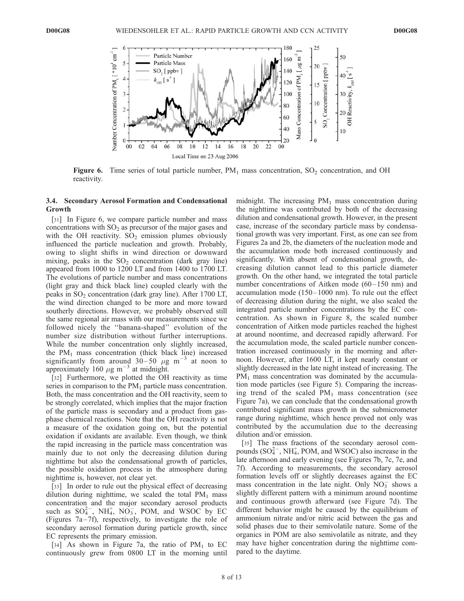

Figure 6. Time series of total particle number,  $PM_1$  mass concentration, SO<sub>2</sub> concentration, and OH reactivity.

### 3.4. Secondary Aerosol Formation and Condensational Growth

[31] In Figure 6, we compare particle number and mass concentrations with  $SO_2$  as precursor of the major gases and with the OH reactivity.  $SO_2$  emission plumes obviously influenced the particle nucleation and growth. Probably, owing to slight shifts in wind direction or downward mixing, peaks in the  $SO_2$  concentration (dark gray line) appeared from 1000 to 1200 LT and from 1400 to 1700 LT. The evolutions of particle number and mass concentrations (light gray and thick black line) coupled clearly with the peaks in  $SO_2$  concentration (dark gray line). After 1700 LT, the wind direction changed to be more and more toward southerly directions. However, we probably observed still the same regional air mass with our measurements since we followed nicely the ''banana-shaped'' evolution of the number size distribution without further interruptions. While the number concentration only slightly increased, the  $PM<sub>1</sub>$  mass concentration (thick black line) increased significantly from around  $30-50 \mu g m^{-3}$  at noon to approximately 160  $\mu$ g m<sup>-3</sup> at midnight.

[32] Furthermore, we plotted the OH reactivity as time series in comparison to the  $PM_1$  particle mass concentration. Both, the mass concentration and the OH reactivity, seem to be strongly correlated, which implies that the major fraction of the particle mass is secondary and a product from gasphase chemical reactions. Note that the OH reactivity is not a measure of the oxidation going on, but the potential oxidation if oxidants are available. Even though, we think the rapid increasing in the particle mass concentration was mainly due to not only the decreasing dilution during nighttime but also the condensational growth of particles, the possible oxidation process in the atmosphere during nighttime is, however, not clear yet.

[33] In order to rule out the physical effect of decreasing dilution during nighttime, we scaled the total  $PM_1$  mass concentration and the major secondary aerosol products such as  $SO_4^{2-}$ , NH<sub>4</sub>, NO<sub>3</sub>, POM, and WSOC by EC (Figures  $7a-7f$ ), respectively, to investigate the role of secondary aerosol formation during particle growth, since EC represents the primary emission.

[34] As shown in Figure 7a, the ratio of  $PM<sub>1</sub>$  to EC continuously grew from 0800 LT in the morning until midnight. The increasing  $PM_1$  mass concentration during the nighttime was contributed by both of the decreasing dilution and condensational growth. However, in the present case, increase of the secondary particle mass by condensational growth was very important. First, as one can see from Figures 2a and 2b, the diameters of the nucleation mode and the accumulation mode both increased continuously and significantly. With absent of condensational growth, decreasing dilution cannot lead to this particle diameter growth. On the other hand, we integrated the total particle number concentrations of Aitken mode  $(60-150 \text{ nm})$  and accumulation mode (150– 1000 nm). To rule out the effect of decreasing dilution during the night, we also scaled the integrated particle number concentrations by the EC concentration. As shown in Figure 8, the scaled number concentration of Aitken mode particles reached the highest at around noontime, and decreased rapidly afterward. For the accumulation mode, the scaled particle number concentration increased continuously in the morning and afternoon. However, after 1600 LT, it kept nearly constant or slightly decreased in the late night instead of increasing. The  $PM<sub>1</sub>$  mass concentration was dominated by the accumulation mode particles (see Figure 5). Comparing the increasing trend of the scaled  $PM_1$  mass concentration (see Figure 7a), we can conclude that the condensational growth contributed significant mass growth in the submicrometer range during nighttime, which hence proved not only was contributed by the accumulation due to the decreasing dilution and/or emission.

[35] The mass fractions of the secondary aerosol compounds  $(SO_4^{2-}$ , NH<sub>4</sub>, POM, and WSOC) also increase in the late afternoon and early evening (see Figures 7b, 7c, 7e, and 7f). According to measurements, the secondary aerosol formation levels off or slightly decreases against the EC mass concentration in the late night. Only  $\overline{NO_3}^-$  shows a slightly different pattern with a minimum around noontime and continuous growth afterward (see Figure 7d). The different behavior might be caused by the equilibrium of ammonium nitrate and/or nitric acid between the gas and solid phases due to their semivolatile nature. Some of the organics in POM are also semivolatile as nitrate, and they may have higher concentration during the nighttime compared to the daytime.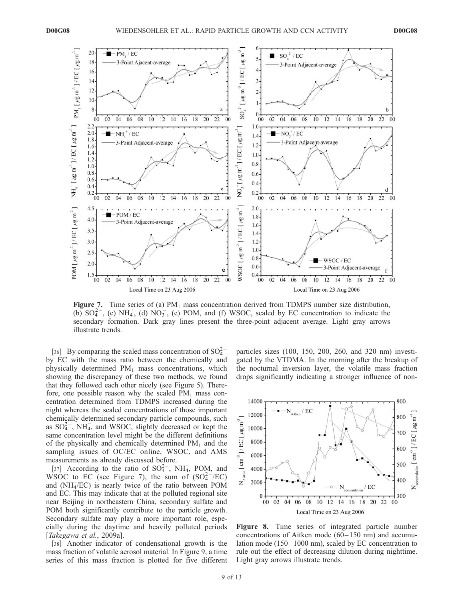

**Figure 7.** Time series of (a)  $PM_1$  mass concentration derived from TDMPS number size distribution, (b)  $SO_4^{2-}$ , (c) NH<sub>4</sub>, (d) NO<sub>3</sub>, (e) POM, and (f) WSOC, scaled by EC concentration to indicate the secondary formation. Dark gray lines present the three-point adjacent average. Light gray arrows illustrate trends.

[36] By comparing the scaled mass concentration of  $SO_4^{2-}$ by EC with the mass ratio between the chemically and physically determined PM<sup>1</sup> mass concentrations, which showing the discrepancy of these two methods, we found that they followed each other nicely (see Figure 5). Therefore, one possible reason why the scaled  $PM_1$  mass concentration determined from TDMPS increased during the night whereas the scaled concentrations of those important chemically determined secondary particle compounds, such as  $SO_4^{2-}$ , NH<sub>4</sub>, and WSOC, slightly decreased or kept the same concentration level might be the different definitions of the physically and chemically determined  $PM_1$  and the sampling issues of OC/EC online, WSOC, and AMS measurements as already discussed before.

[37] According to the ratio of  $SO_4^{2-}$ , NH<sub>4</sub>, POM, and WSOC to EC (see Figure 7), the sum of  $(SO<sub>4</sub><sup>2</sup>/EC)$ and (NH<sub>4</sub>/EC) is nearly twice of the ratio between POM and EC. This may indicate that at the polluted regional site near Beijing in northeastern China, secondary sulfate and POM both significantly contribute to the particle growth. Secondary sulfate may play a more important role, especially during the daytime and heavily polluted periods [*Takegawa et al.*, 2009a].

[38] Another indicator of condensational growth is the mass fraction of volatile aerosol material. In Figure 9, a time series of this mass fraction is plotted for five different particles sizes (100, 150, 200, 260, and 320 nm) investigated by the VTDMA. In the morning after the breakup of the nocturnal inversion layer, the volatile mass fraction drops significantly indicating a stronger influence of non-



Figure 8. Time series of integrated particle number concentrations of Aitken mode  $(60-150 \text{ nm})$  and accumulation mode  $(150-1000 \text{ nm})$ , scaled by EC concentration to rule out the effect of decreasing dilution during nighttime. Light gray arrows illustrate trends.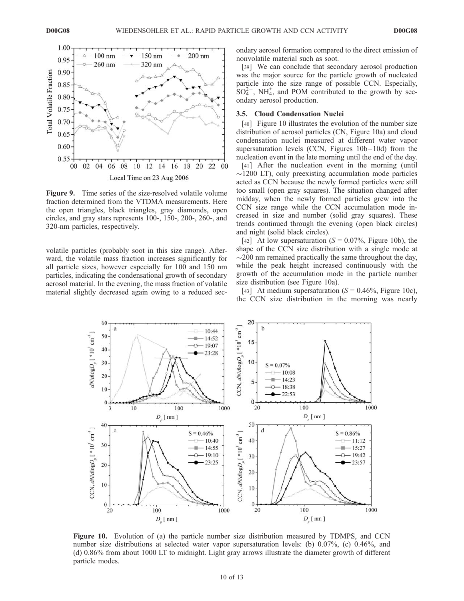

Figure 9. Time series of the size-resolved volatile volume fraction determined from the VTDMA measurements. Here the open triangles, black triangles, gray diamonds, open circles, and gray stars represents 100-, 150-, 200-, 260-, and 320-nm particles, respectively.

volatile particles (probably soot in this size range). Afterward, the volatile mass fraction increases significantly for all particle sizes, however especially for 100 and 150 nm particles, indicating the condensational growth of secondary aerosol material. In the evening, the mass fraction of volatile material slightly decreased again owing to a reduced sec-

ondary aerosol formation compared to the direct emission of nonvolatile material such as soot.

[39] We can conclude that secondary aerosol production was the major source for the particle growth of nucleated particle into the size range of possible CCN. Especially,  $SO_4^{2-}$ , NH<sub>4</sub>, and POM contributed to the growth by secondary aerosol production.

#### 3.5. Cloud Condensation Nuclei

[40] Figure 10 illustrates the evolution of the number size distribution of aerosol particles (CN, Figure 10a) and cloud condensation nuclei measured at different water vapor supersaturation levels (CCN, Figures  $10b-10d$ ) from the nucleation event in the late morning until the end of the day.

[41] After the nucleation event in the morning (until  $\sim$ 1200 LT), only preexisting accumulation mode particles acted as CCN because the newly formed particles were still too small (open gray squares). The situation changed after midday, when the newly formed particles grew into the CCN size range while the CCN accumulation mode increased in size and number (solid gray squares). These trends continued through the evening (open black circles) and night (solid black circles).

[42] At low supersaturation  $(S = 0.07\%$ , Figure 10b), the shape of the CCN size distribution with a single mode at  $\sim$ 200 nm remained practically the same throughout the day, while the peak height increased continuously with the growth of the accumulation mode in the particle number size distribution (see Figure 10a).

[43] At medium supersaturation  $(S = 0.46\%, \text{ Figure } 10c)$ , the CCN size distribution in the morning was nearly



Figure 10. Evolution of (a) the particle number size distribution measured by TDMPS, and CCN number size distributions at selected water vapor supersaturation levels: (b) 0.07%, (c) 0.46%, and (d) 0.86% from about 1000 LT to midnight. Light gray arrows illustrate the diameter growth of different particle modes.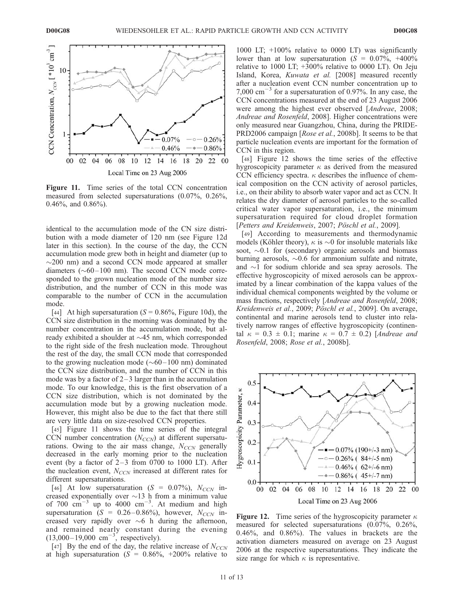

Figure 11. Time series of the total CCN concentration measured from selected supersaturations (0.07%, 0.26%, 0.46%, and 0.86%).

identical to the accumulation mode of the CN size distribution with a mode diameter of 120 nm (see Figure 12d later in this section). In the course of the day, the CCN accumulation mode grew both in height and diameter (up to  $\sim$ 200 nm) and a second CCN mode appeared at smaller diameters  $(\sim 60 - 100 \text{ nm})$ . The second CCN mode corresponded to the grown nucleation mode of the number size distribution, and the number of CCN in this mode was comparable to the number of CCN in the accumulation mode.

[44] At high supersaturation  $(S = 0.86\%, \text{ Figure 10d})$ , the CCN size distribution in the morning was dominated by the number concentration in the accumulation mode, but already exhibited a shoulder at  $\sim$  45 nm, which corresponded to the right side of the fresh nucleation mode. Throughout the rest of the day, the small CCN mode that corresponded to the growing nucleation mode ( $\sim 60-100$  nm) dominated the CCN size distribution, and the number of CCN in this mode was by a factor of  $2-3$  larger than in the accumulation mode. To our knowledge, this is the first observation of a CCN size distribution, which is not dominated by the accumulation mode but by a growing nucleation mode. However, this might also be due to the fact that there still are very little data on size-resolved CCN properties.

[45] Figure 11 shows the time series of the integral CCN number concentration (*N<sub>CCN*</sub>) at different supersaturations. Owing to the air mass change, *N<sub>CCN</sub>* generally decreased in the early morning prior to the nucleation event (by a factor of  $2-3$  from 0700 to 1000 LT). After the nucleation event, *N<sub>CCN</sub>* increased at different rates for different supersaturations.

[46] At low supersaturation  $(S = 0.07\%)$ ,  $N_{CCN}$  increased exponentially over  $\sim$ 13 h from a minimum value of 700  $\text{cm}^{-3}$  up to 4000  $\text{cm}^{-3}$ . At medium and high supersaturation ( $S = 0.26 - 0.86\%$ ), however,  $N_{CCN}$  increased very rapidly over  $\sim$  6 h during the afternoon, and remained nearly constant during the evening  $(13,000-19,000 \text{ cm}^{-3})$ , respectively).

[47] By the end of the day, the relative increase of  $N_{CCN}$ at high supersaturation  $(S = 0.86\%, +200\%$  relative to

1000 LT; +100% relative to 0000 LT) was significantly lower than at low supersaturation  $(S = 0.07\%, +400\%)$ relative to 1000 LT; +300% relative to 0000 LT). On Jeju Island, Korea, *Kuwata et al.* [2008] measured recently after a nucleation event CCN number concentration up to 7,000 cm-3 for a supersaturation of 0.97%. In any case, the CCN concentrations measured at the end of 23 August 2006 were among the highest ever observed [*Andreae*, 2008; *Andreae and Rosenfeld*, 2008]. Higher concentrations were only measured near Guangzhou, China, during the PRIDE-PRD2006 campaign [*Rose et al.*, 2008b]. It seems to be that particle nucleation events are important for the formation of CCN in this region.

[48] Figure 12 shows the time series of the effective hygroscopicity parameter  $\kappa$  as derived from the measured CCN efficiency spectra.  $\kappa$  describes the influence of chemical composition on the CCN activity of aerosol particles, i.e., on their ability to absorb water vapor and act as CCN. It relates the dry diameter of aerosol particles to the so-called critical water vapor supersaturation, i.e., the minimum supersaturation required for cloud droplet formation [Petters and Kreidenweis, 2007; Pöschl et al., 2009].

[49] According to measurements and thermodynamic models (Köhler theory),  $\kappa$  is  $\sim$ 0 for insoluble materials like soot,  $\sim 0.1$  for (secondary) organic aerosols and biomass burning aerosols,  $\sim 0.6$  for ammonium sulfate and nitrate, and  $\sim$ 1 for sodium chloride and sea spray aerosols. The effective hygroscopicity of mixed aerosols can be approximated by a linear combination of the kappa values of the individual chemical components weighted by the volume or mass fractions, respectively [*Andreae and Rosenfeld*, 2008; *Kreidenweis et al.*, 2009; *Po¨schl et al.*, 2009]. On average, continental and marine aerosols tend to cluster into relatively narrow ranges of effective hygroscopicity (continental  $\kappa = 0.3 \pm 0.1$ ; marine  $\kappa = 0.7 \pm 0.2$ ) [*Andreae and Rosenfeld*, 2008; *Rose et al.*, 2008b].



**Figure 12.** Time series of the hygroscopicity parameter  $\kappa$ measured for selected supersaturations (0.07%, 0.26%, 0.46%, and 0.86%). The values in brackets are the activation diameters measured on average on 23 August 2006 at the respective supersaturations. They indicate the size range for which  $\kappa$  is representative.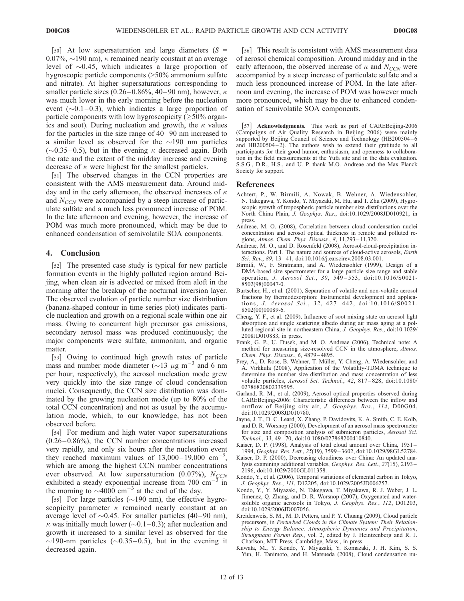[50] At low supersaturation and large diameters  $(S =$ 0.07%,  $\sim$ 190 nm),  $\kappa$  remained nearly constant at an average level of  $\sim 0.45$ , which indicates a large proportion of hygroscopic particle components (>50% ammonium sulfate and nitrate). At higher supersaturations corresponding to smaller particle sizes (0.26–0.86%, 40–90 nm), however,  $\kappa$ was much lower in the early morning before the nucleation event  $(\sim 0.1 - 0.3)$ , which indicates a large proportion of particle components with low hygroscopicity  $(\geq 50\%$  organics and soot). During nucleation and growth, the  $\kappa$  values for the particles in the size range of 40– 90 nm increased to a similar level as observed for the  $\sim$ 190 nm particles  $(\sim 0.35 - 0.5)$ , but in the evening  $\kappa$  decreased again. Both the rate and the extent of the midday increase and evening decrease of  $\kappa$  were highest for the smallest particles.

[51] The observed changes in the CCN properties are consistent with the AMS measurement data. Around midday and in the early afternoon, the observed increases of  $\kappa$ and *NCCN* were accompanied by a steep increase of particulate sulfate and a much less pronounced increase of POM. In the late afternoon and evening, however, the increase of POM was much more pronounced, which may be due to enhanced condensation of semivolatile SOA components.

#### 4. Conclusion

[52] The presented case study is typical for new particle formation events in the highly polluted region around Beijing, when clean air is advected or mixed from aloft in the morning after the breakup of the nocturnal inversion layer. The observed evolution of particle number size distribution (banana-shaped contour in time series plot) indicates particle nucleation and growth on a regional scale within one air mass. Owing to concurrent high precursor gas emissions, secondary aerosol mass was produced continuously; the major components were sulfate, ammonium, and organic matter.

[53] Owing to continued high growth rates of particle mass and number mode diameter ( $\sim$ 13  $\mu$ g m<sup>-3</sup> and 6 nm per hour, respectively), the aerosol nucleation mode grew very quickly into the size range of cloud condensation nuclei. Consequently, the CCN size distribution was dominated by the growing nucleation mode (up to 80% of the total CCN concentration) and not as usual by the accumulation mode, which, to our knowledge, has not been observed before.

[54] For medium and high water vapor supersaturations  $(0.26 - 0.86\%)$ , the CCN number concentrations increased very rapidly, and only six hours after the nucleation event they reached maximum values of  $13,000-19,000$  cm<sup>-3</sup>, which are among the highest CCN number concentrations ever observed. At low supersaturation (0.07%),  $N_{CCN}$ exhibited a steady exponential increase from  $700 \text{ cm}^{-3}$  in the morning to  $\sim 4000 \text{ cm}^{-3}$  at the end of the day.

[55] For large particles ( $\sim$ 190 nm), the effective hygroscopicity parameter  $\kappa$  remained nearly constant at an average level of  $\sim 0.45$ . For smaller particles (40–90 nm),  $\kappa$  was initially much lower ( $\sim$ 0.1–0.3); after nucleation and growth it increased to a similar level as observed for the  $\sim$ 190-nm particles ( $\sim$ 0.35–0.5), but in the evening it decreased again.

[56] This result is consistent with AMS measurement data of aerosol chemical composition. Around midday and in the early afternoon, the observed increase of  $\kappa$  and  $N_{CCN}$  were accompanied by a steep increase of particulate sulfate and a much less pronounced increase of POM. In the late afternoon and evening, the increase of POM was however much more pronounced, which may be due to enhanced condensation of semivolatile SOA components.

[57] Acknowledgments. This work as part of CAREBeijing-2006 (Campaigns of Air Quality Research in Beijing 2006) were mainly supported by Beijing Council of Science and Technology (HB200504-6 and  $HB200504-2$ ). The authors wish to extend their gratitude to all participants for their good humor, enthusiasm, and openness to collaboration in the field measurements at the Yufa site and in the data evaluation. S.S.G., D.R., H.S., and U. P. thank M.O. Andreae and the Max Planck Society for support.

#### References

- Achtert, P., W. Birmili, A. Nowak, B. Wehner, A. Wiedensohler, N. Takegawa, Y. Kondo, Y. Miyazaki, M. Hu, and T. Zhu (2009), Hygroscopic growth of tropospheric particle number size distributions over the North China Plain, *J. Geophys. Res.*, doi:10.1029/2008JD010921, in press.
- Andreae, M. O. (2008), Correlation between cloud condensation nuclei concentration and aerosol optical thickness in remote and polluted regions, *Atmos. Chem. Phys. Discuss.*, *8*, 11,293 – 11,320.
- Andreae, M. O., and D. Rosenfeld (2008), Aerosol-cloud-precipitation interactions. Part 1. The nature and sources of cloud-active aerosols, *Earth Sci. Rev.*, *89*, 13 – 41, doi:10.1016/j.earscirev.2008.03.001.
- Birmili, W., F. Stratmann, and A. Wiedensohler (1999), Design of a DMA-based size spectrometer for a large particle size range and stable operation, *J. Aerosol Sci.*, *30*, 549 – 553, doi:10.1016/S0021- 8502(98)00047-0.
- Burtscher, H., et al. (2001), Separation of volatile and non-volatile aerosol fractions by thermodesorption: Instrumental development and applications, *J. Aerosol Sci.*, *3 2*, 427 – 442, doi:10.1016/S0021- 8502(00)00089-6.
- Cheng, Y. F., et al. (2009), Influence of soot mixing state on aerosol light absorption and single scattering albedo during air mass aging at a polluted regional site in northeastern China, *J. Geophys. Res.*, doi:10.1029/ 2008JD010883, in press.
- Frank, G. P., U. Dusek, and M. O. Andreae (2006), Technical note: A method for measuring size-resolved CCN in the atmosphere, *Atmos. Chem. Phys. Discuss.*, *6*, 4879 – 4895.
- Frey, A., D. Rose, B. Wehner, T. Müller, Y. Cheng, A. Wiedensohler, and A. Virkkula (2008), Application of the Volatility-TDMA technique to determine the number size distribution and mass concentration of less volatile particles, *Aerosol Sci. Technol.*, *42*, 817 – 828, doi:10.1080/ 02786820802339595.
- Garland, R. M., et al. (2009), Aerosol optical properties observed during CAREBeijing-2006: Characteristic differences between the inflow and outflow of Beijing city air, *J. Geophys. Res.*, *114*, D00G04, doi:10.1029/2008JD010780.
- Jayne, J. T., D. C. Leard, X. Zhang, P. Davidovits, K. A. Smith, C. E. Kolb, and D. R. Worsnop (2000), Development of an aerosol mass spectrometer for size and composition analysis of submicron particles, *Aerosol Sci. Technol.*, *33*, 49 – 70, doi:10.1080/027868200410840.
- Kaiser, D. P. (1998), Analysis of total cloud amount over China, 1951 1994, *Geophys. Res. Lett.*, *25*(19), 3599 – 3602, doi:10.1029/98GL52784.
- Kaiser, D. P. (2000), Decreasing cloudiness over China: An updated analysis examining additional variables, *Geophys. Res. Lett.*, *27*(15), 2193 – 2196, doi:10.1029/2000GL011358.
- Kondo, Y., et al. (2006), Temporal variations of elemental carbon in Tokyo, *J. Geophys. Res.*, *111*, D12205, doi:10.1029/2005JD006257.
- Kondo, Y., Y. Miyazaki, N. Takegawa, T. Miyakawa, R. J. Weber, J. L. Jimenez, Q. Zhang, and D. R. Worsnop (2007), Oxygenated and watersoluble organic aerosols in Tokyo, *J. Geophys. Res.*, *112*, D01203, doi:10.1029/2006JD007056.
- Kreidenweis, S. M., M. D. Petters, and P. Y. Chuang (2009), Cloud particle precursors, in *Perturbed Clouds in the Climate System: Their Relationship to Energy Balance, Atmospheric Dynamics and Precipitation*, *Strungmann Forum Rep.*, vol. 2, edited by J. Heintzenberg and R. J. Charlson, MIT Press, Cambridge, Mass., in press.
- Kuwata, M., Y. Kondo, Y. Miyazaki, Y. Komazaki, J. H. Kim, S. S. Yun, H. Tanimoto, and H. Matsueda (2008), Cloud condensation nu-